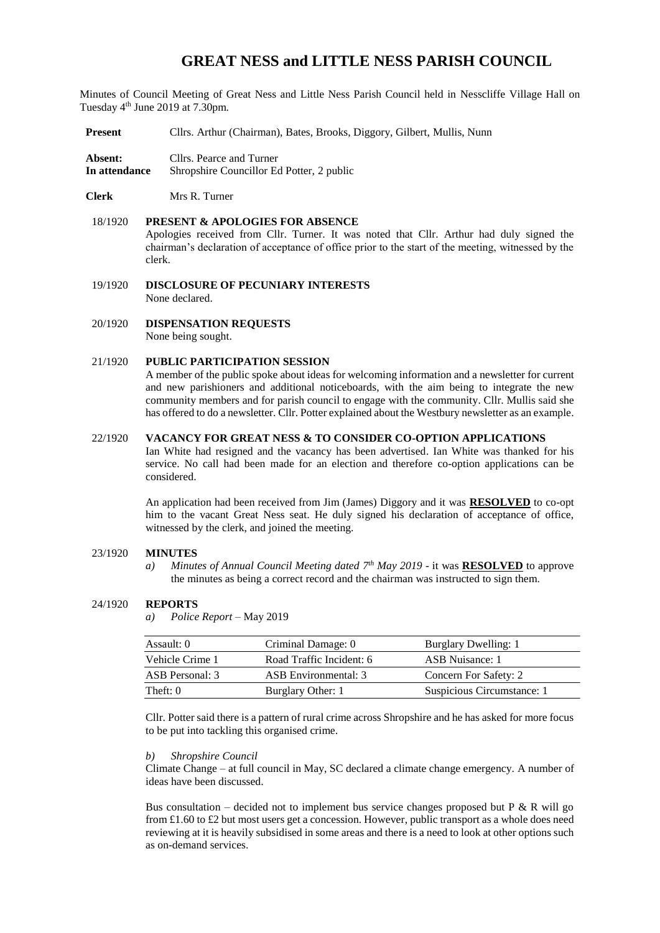# **GREAT NESS and LITTLE NESS PARISH COUNCIL**

Minutes of Council Meeting of Great Ness and Little Ness Parish Council held in Nesscliffe Village Hall on Tuesday 4<sup>th</sup> June 2019 at 7.30pm.

- **Present** Cllrs. Arthur (Chairman), Bates, Brooks, Diggory, Gilbert, Mullis, Nunn
- **Absent:** Cllrs. Pearce and Turner **In attendance** Shropshire Councillor Ed Potter, 2 public
- **Clerk** Mrs R. Turner

## 18/1920 **PRESENT & APOLOGIES FOR ABSENCE**  Apologies received from Cllr. Turner. It was noted that Cllr. Arthur had duly signed the chairman's declaration of acceptance of office prior to the start of the meeting, witnessed by the clerk.

19/1920 **DISCLOSURE OF PECUNIARY INTERESTS** None declared.

20/1920 **DISPENSATION REQUESTS** None being sought.

#### 21/1920 **PUBLIC PARTICIPATION SESSION**

A member of the public spoke about ideas for welcoming information and a newsletter for current and new parishioners and additional noticeboards, with the aim being to integrate the new community members and for parish council to engage with the community. Cllr. Mullis said she has offered to do a newsletter. Cllr. Potter explained about the Westbury newsletter as an example.

## 22/1920 **VACANCY FOR GREAT NESS & TO CONSIDER CO-OPTION APPLICATIONS**

Ian White had resigned and the vacancy has been advertised. Ian White was thanked for his service. No call had been made for an election and therefore co-option applications can be considered.

An application had been received from Jim (James) Diggory and it was **RESOLVED** to co-opt him to the vacant Great Ness seat. He duly signed his declaration of acceptance of office, witnessed by the clerk, and joined the meeting.

#### 23/1920 **MINUTES**

*a) Minutes of Annual Council Meeting dated 7 th May 2019* - it was **RESOLVED** to approve the minutes as being a correct record and the chairman was instructed to sign them.

#### 24/1920 **REPORTS**

*a) Police Report* – May 2019

| Assault: 0      | Criminal Damage: 0       | Burglary Dwelling: 1       |
|-----------------|--------------------------|----------------------------|
| Vehicle Crime 1 | Road Traffic Incident: 6 | ASB Nuisance: 1            |
| ASB Personal: 3 | ASB Environmental: 3     | Concern For Safety: 2      |
| Theft: $0$      | Burglary Other: 1        | Suspicious Circumstance: 1 |

Cllr. Potter said there is a pattern of rural crime across Shropshire and he has asked for more focus to be put into tackling this organised crime.

#### *b) Shropshire Council*

Climate Change – at full council in May, SC declared a climate change emergency. A number of ideas have been discussed.

Bus consultation – decided not to implement bus service changes proposed but P  $\&$  R will go from £1.60 to £2 but most users get a concession. However, public transport as a whole does need reviewing at it is heavily subsidised in some areas and there is a need to look at other options such as on-demand services.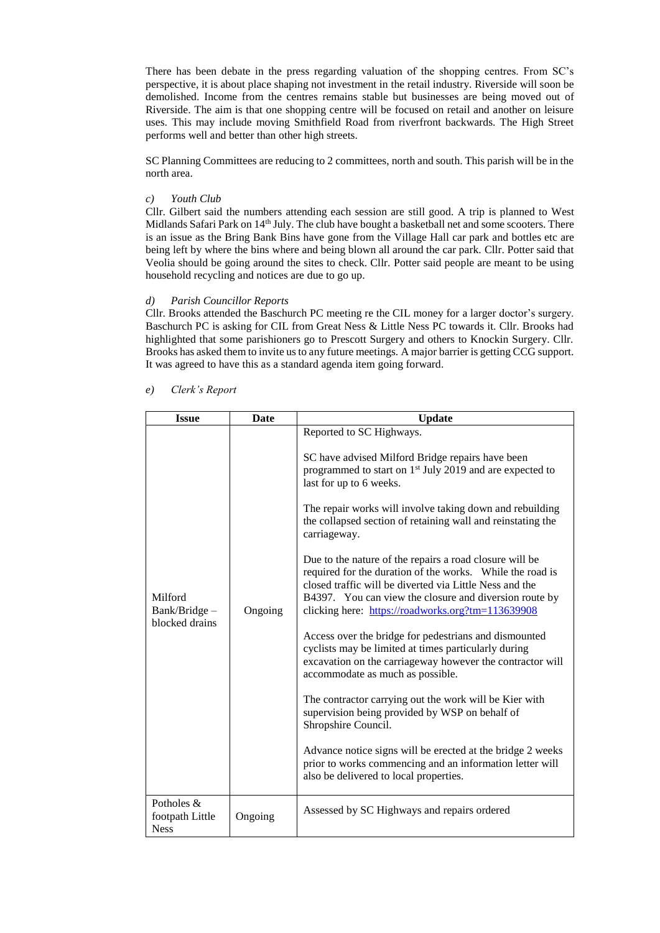There has been debate in the press regarding valuation of the shopping centres. From SC's perspective, it is about place shaping not investment in the retail industry. Riverside will soon be demolished. Income from the centres remains stable but businesses are being moved out of Riverside. The aim is that one shopping centre will be focused on retail and another on leisure uses. This may include moving Smithfield Road from riverfront backwards. The High Street performs well and better than other high streets.

SC Planning Committees are reducing to 2 committees, north and south. This parish will be in the north area.

## *c) Youth Club*

Cllr. Gilbert said the numbers attending each session are still good. A trip is planned to West Midlands Safari Park on 14<sup>th</sup> July. The club have bought a basketball net and some scooters. There is an issue as the Bring Bank Bins have gone from the Village Hall car park and bottles etc are being left by where the bins where and being blown all around the car park. Cllr. Potter said that Veolia should be going around the sites to check. Cllr. Potter said people are meant to be using household recycling and notices are due to go up.

#### *d) Parish Councillor Reports*

Cllr. Brooks attended the Baschurch PC meeting re the CIL money for a larger doctor's surgery. Baschurch PC is asking for CIL from Great Ness & Little Ness PC towards it. Cllr. Brooks had highlighted that some parishioners go to Prescott Surgery and others to Knockin Surgery. Cllr. Brooks has asked them to invite us to any future meetings. A major barrier is getting CCG support. It was agreed to have this as a standard agenda item going forward.

| <b>Issue</b>                                 | Date    | <b>Update</b>                                                                                                                                                                                                                                                                                                                                                                                                                                                                                                                                                                                                                                                                                                                                                                                                                                                                                                                                                                                                                                                                                                                                         |  |
|----------------------------------------------|---------|-------------------------------------------------------------------------------------------------------------------------------------------------------------------------------------------------------------------------------------------------------------------------------------------------------------------------------------------------------------------------------------------------------------------------------------------------------------------------------------------------------------------------------------------------------------------------------------------------------------------------------------------------------------------------------------------------------------------------------------------------------------------------------------------------------------------------------------------------------------------------------------------------------------------------------------------------------------------------------------------------------------------------------------------------------------------------------------------------------------------------------------------------------|--|
| Milford<br>Bank/Bridge -<br>blocked drains   | Ongoing | Reported to SC Highways.<br>SC have advised Milford Bridge repairs have been<br>programmed to start on 1 <sup>st</sup> July 2019 and are expected to<br>last for up to 6 weeks.<br>The repair works will involve taking down and rebuilding<br>the collapsed section of retaining wall and reinstating the<br>carriageway.<br>Due to the nature of the repairs a road closure will be<br>required for the duration of the works. While the road is<br>closed traffic will be diverted via Little Ness and the<br>B4397. You can view the closure and diversion route by<br>clicking here: https://roadworks.org?tm=113639908<br>Access over the bridge for pedestrians and dismounted<br>cyclists may be limited at times particularly during<br>excavation on the carriageway however the contractor will<br>accommodate as much as possible.<br>The contractor carrying out the work will be Kier with<br>supervision being provided by WSP on behalf of<br>Shropshire Council.<br>Advance notice signs will be erected at the bridge 2 weeks<br>prior to works commencing and an information letter will<br>also be delivered to local properties. |  |
| Potholes &<br>footpath Little<br><b>Ness</b> | Ongoing | Assessed by SC Highways and repairs ordered                                                                                                                                                                                                                                                                                                                                                                                                                                                                                                                                                                                                                                                                                                                                                                                                                                                                                                                                                                                                                                                                                                           |  |

#### *e) Clerk's Report*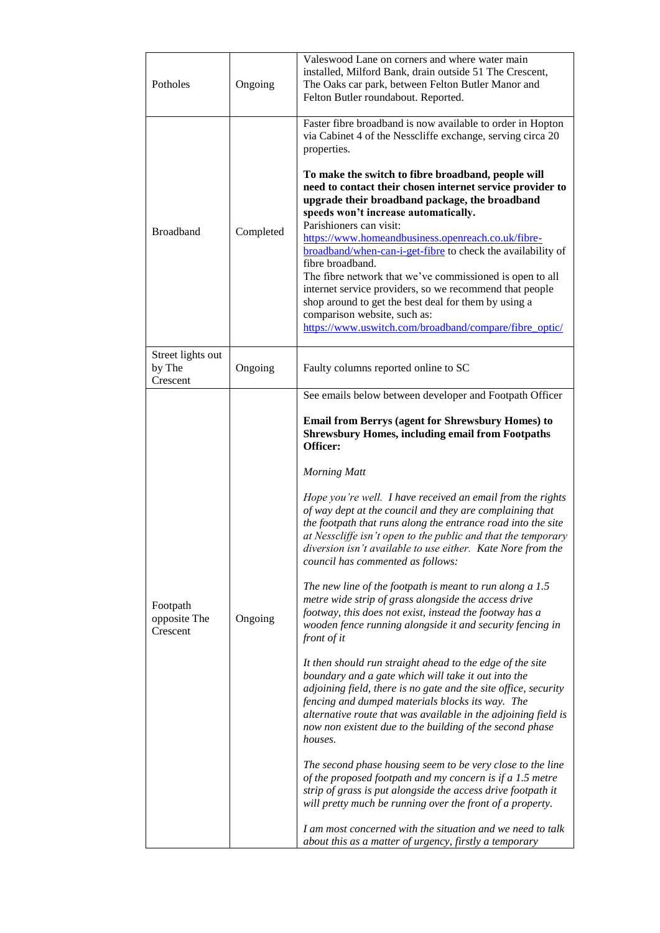| Potholes                                | Ongoing   | Valeswood Lane on corners and where water main<br>installed, Milford Bank, drain outside 51 The Crescent,<br>The Oaks car park, between Felton Butler Manor and<br>Felton Butler roundabout. Reported.                                                                                                                                                                                                                                                                                                                                                                                                                                                                                                                                                                                                                                                                                                                                                                                                                                                                                                                                                                                                                                                                                                                                                                                                                                                                                                                                                                                                            |  |  |
|-----------------------------------------|-----------|-------------------------------------------------------------------------------------------------------------------------------------------------------------------------------------------------------------------------------------------------------------------------------------------------------------------------------------------------------------------------------------------------------------------------------------------------------------------------------------------------------------------------------------------------------------------------------------------------------------------------------------------------------------------------------------------------------------------------------------------------------------------------------------------------------------------------------------------------------------------------------------------------------------------------------------------------------------------------------------------------------------------------------------------------------------------------------------------------------------------------------------------------------------------------------------------------------------------------------------------------------------------------------------------------------------------------------------------------------------------------------------------------------------------------------------------------------------------------------------------------------------------------------------------------------------------------------------------------------------------|--|--|
|                                         |           | Faster fibre broadband is now available to order in Hopton<br>via Cabinet 4 of the Nesscliffe exchange, serving circa 20<br>properties.                                                                                                                                                                                                                                                                                                                                                                                                                                                                                                                                                                                                                                                                                                                                                                                                                                                                                                                                                                                                                                                                                                                                                                                                                                                                                                                                                                                                                                                                           |  |  |
| <b>Broadband</b>                        | Completed | To make the switch to fibre broadband, people will<br>need to contact their chosen internet service provider to<br>upgrade their broadband package, the broadband<br>speeds won't increase automatically.<br>Parishioners can visit:<br>https://www.homeandbusiness.openreach.co.uk/fibre-<br>broadband/when-can-i-get-fibre to check the availability of<br>fibre broadband.<br>The fibre network that we've commissioned is open to all<br>internet service providers, so we recommend that people<br>shop around to get the best deal for them by using a<br>comparison website, such as:<br>https://www.uswitch.com/broadband/compare/fibre_optic/                                                                                                                                                                                                                                                                                                                                                                                                                                                                                                                                                                                                                                                                                                                                                                                                                                                                                                                                                            |  |  |
| Street lights out<br>by The<br>Crescent | Ongoing   | Faulty columns reported online to SC                                                                                                                                                                                                                                                                                                                                                                                                                                                                                                                                                                                                                                                                                                                                                                                                                                                                                                                                                                                                                                                                                                                                                                                                                                                                                                                                                                                                                                                                                                                                                                              |  |  |
| Footpath<br>opposite The<br>Crescent    | Ongoing   | See emails below between developer and Footpath Officer<br><b>Email from Berrys (agent for Shrewsbury Homes) to</b><br><b>Shrewsbury Homes, including email from Footpaths</b><br>Officer:<br><b>Morning Matt</b><br>Hope you're well. I have received an email from the rights<br>of way dept at the council and they are complaining that<br>the footpath that runs along the entrance road into the site<br>at Nesscliffe isn't open to the public and that the temporary<br>diversion isn't available to use either. Kate Nore from the<br>council has commented as follows:<br>The new line of the footpath is meant to run along $a 1.5$<br>metre wide strip of grass alongside the access drive<br>footway, this does not exist, instead the footway has a<br>wooden fence running alongside it and security fencing in<br>front of it<br>It then should run straight ahead to the edge of the site<br>boundary and a gate which will take it out into the<br>adjoining field, there is no gate and the site office, security<br>fencing and dumped materials blocks its way. The<br>alternative route that was available in the adjoining field is<br>now non existent due to the building of the second phase<br>houses.<br>The second phase housing seem to be very close to the line<br>of the proposed footpath and my concern is if a 1.5 metre<br>strip of grass is put alongside the access drive footpath it<br>will pretty much be running over the front of a property.<br>I am most concerned with the situation and we need to talk<br>about this as a matter of urgency, firstly a temporary |  |  |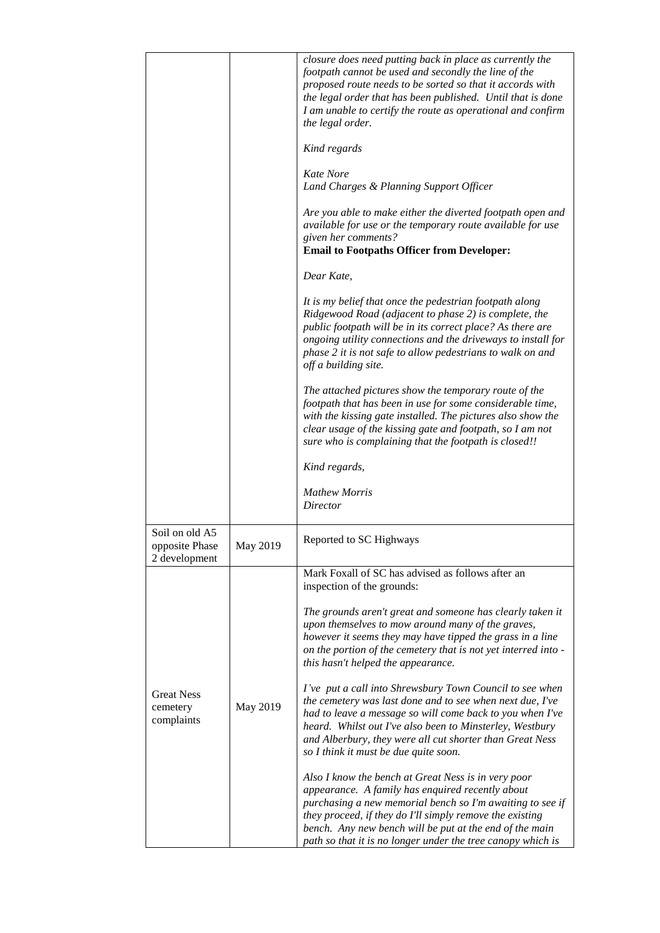|                                                   |          | closure does need putting back in place as currently the<br>footpath cannot be used and secondly the line of the<br>proposed route needs to be sorted so that it accords with<br>the legal order that has been published. Until that is done<br>I am unable to certify the route as operational and confirm<br>the legal order.<br>Kind regards            |
|---------------------------------------------------|----------|------------------------------------------------------------------------------------------------------------------------------------------------------------------------------------------------------------------------------------------------------------------------------------------------------------------------------------------------------------|
|                                                   |          | <b>Kate Nore</b><br>Land Charges & Planning Support Officer                                                                                                                                                                                                                                                                                                |
|                                                   |          | Are you able to make either the diverted footpath open and<br>available for use or the temporary route available for use<br>given her comments?<br><b>Email to Footpaths Officer from Developer:</b>                                                                                                                                                       |
|                                                   |          | Dear Kate,                                                                                                                                                                                                                                                                                                                                                 |
|                                                   |          | It is my belief that once the pedestrian footpath along<br>Ridgewood Road (adjacent to phase 2) is complete, the<br>public footpath will be in its correct place? As there are<br>ongoing utility connections and the driveways to install for<br>phase 2 it is not safe to allow pedestrians to walk on and<br>off a building site.                       |
|                                                   |          | The attached pictures show the temporary route of the<br>footpath that has been in use for some considerable time,<br>with the kissing gate installed. The pictures also show the<br>clear usage of the kissing gate and footpath, so I am not<br>sure who is complaining that the footpath is closed!!                                                    |
|                                                   |          | Kind regards,                                                                                                                                                                                                                                                                                                                                              |
|                                                   |          | <b>Mathew Morris</b><br>Director                                                                                                                                                                                                                                                                                                                           |
| Soil on old A5<br>opposite Phase<br>2 development | May 2019 | Reported to SC Highways                                                                                                                                                                                                                                                                                                                                    |
|                                                   |          | Mark Foxall of SC has advised as follows after an<br>inspection of the grounds:                                                                                                                                                                                                                                                                            |
|                                                   |          | The grounds aren't great and someone has clearly taken it<br>upon themselves to mow around many of the graves,<br>however it seems they may have tipped the grass in a line<br>on the portion of the cemetery that is not yet interred into -<br>this hasn't helped the appearance.                                                                        |
| <b>Great Ness</b><br>cemetery<br>complaints       | May 2019 | I've put a call into Shrewsbury Town Council to see when<br>the cemetery was last done and to see when next due, I've<br>had to leave a message so will come back to you when I've<br>heard. Whilst out I've also been to Minsterley, Westbury<br>and Alberbury, they were all cut shorter than Great Ness<br>so I think it must be due quite soon.        |
|                                                   |          | Also I know the bench at Great Ness is in very poor<br>appearance. A family has enquired recently about<br>purchasing a new memorial bench so I'm awaiting to see if<br>they proceed, if they do I'll simply remove the existing<br>bench. Any new bench will be put at the end of the main<br>path so that it is no longer under the tree canopy which is |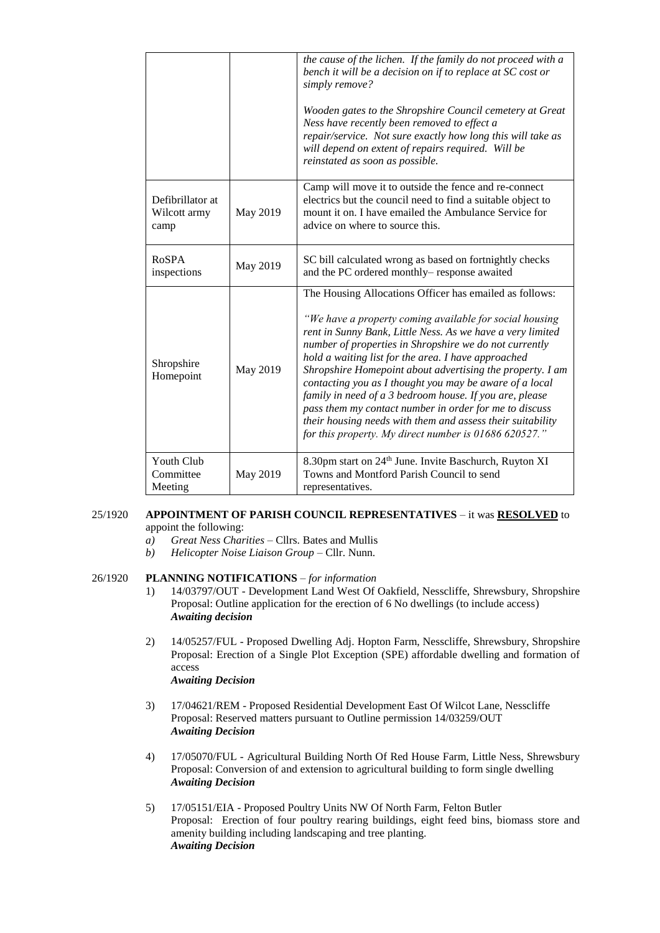|                                          |          | the cause of the lichen. If the family do not proceed with a<br>bench it will be a decision on if to replace at SC cost or<br>simply remove?<br>Wooden gates to the Shropshire Council cemetery at Great<br>Ness have recently been removed to effect a<br>repair/service. Not sure exactly how long this will take as<br>will depend on extent of repairs required. Will be<br>reinstated as soon as possible.                                                                                                                                                                                                                                                       |
|------------------------------------------|----------|-----------------------------------------------------------------------------------------------------------------------------------------------------------------------------------------------------------------------------------------------------------------------------------------------------------------------------------------------------------------------------------------------------------------------------------------------------------------------------------------------------------------------------------------------------------------------------------------------------------------------------------------------------------------------|
| Defibrillator at<br>Wilcott army<br>camp | May 2019 | Camp will move it to outside the fence and re-connect<br>electrics but the council need to find a suitable object to<br>mount it on. I have emailed the Ambulance Service for<br>advice on where to source this.                                                                                                                                                                                                                                                                                                                                                                                                                                                      |
| RoSPA<br>inspections                     | May 2019 | SC bill calculated wrong as based on fortnightly checks<br>and the PC ordered monthly- response awaited                                                                                                                                                                                                                                                                                                                                                                                                                                                                                                                                                               |
| Shropshire<br>Homepoint                  | May 2019 | The Housing Allocations Officer has emailed as follows:<br>"We have a property coming available for social housing<br>rent in Sunny Bank, Little Ness. As we have a very limited<br>number of properties in Shropshire we do not currently<br>hold a waiting list for the area. I have approached<br>Shropshire Homepoint about advertising the property. I am<br>contacting you as I thought you may be aware of a local<br>family in need of a 3 bedroom house. If you are, please<br>pass them my contact number in order for me to discuss<br>their housing needs with them and assess their suitability<br>for this property. My direct number is 01686 620527." |
| Youth Club<br>Committee<br>Meeting       | May 2019 | 8.30pm start on 24 <sup>th</sup> June. Invite Baschurch, Ruyton XI<br>Towns and Montford Parish Council to send<br>representatives.                                                                                                                                                                                                                                                                                                                                                                                                                                                                                                                                   |

## 25/1920 **APPOINTMENT OF PARISH COUNCIL REPRESENTATIVES** – it was **RESOLVED** to appoint the following:

- *a) Great Ness Charities* Cllrs. Bates and Mullis
- *b) Helicopter Noise Liaison Group*  Cllr. Nunn.

## 26/1920 **PLANNING NOTIFICATIONS** – *for information*

- 1) 14/03797/OUT Development Land West Of Oakfield, Nesscliffe, Shrewsbury, Shropshire Proposal: Outline application for the erection of 6 No dwellings (to include access) *Awaiting decision*
- 2) 14/05257/FUL Proposed Dwelling Adj. Hopton Farm, Nesscliffe, Shrewsbury, Shropshire Proposal: Erection of a Single Plot Exception (SPE) affordable dwelling and formation of access *Awaiting Decision*
- 3) 17/04621/REM Proposed Residential Development East Of Wilcot Lane, Nesscliffe Proposal: Reserved matters pursuant to Outline permission 14/03259/OUT *Awaiting Decision*
- 4) 17/05070/FUL Agricultural Building North Of Red House Farm, Little Ness, Shrewsbury Proposal: Conversion of and extension to agricultural building to form single dwelling *Awaiting Decision*
- 5) 17/05151/EIA Proposed Poultry Units NW Of North Farm, Felton Butler Proposal: Erection of four poultry rearing buildings, eight feed bins, biomass store and amenity building including landscaping and tree planting. *Awaiting Decision*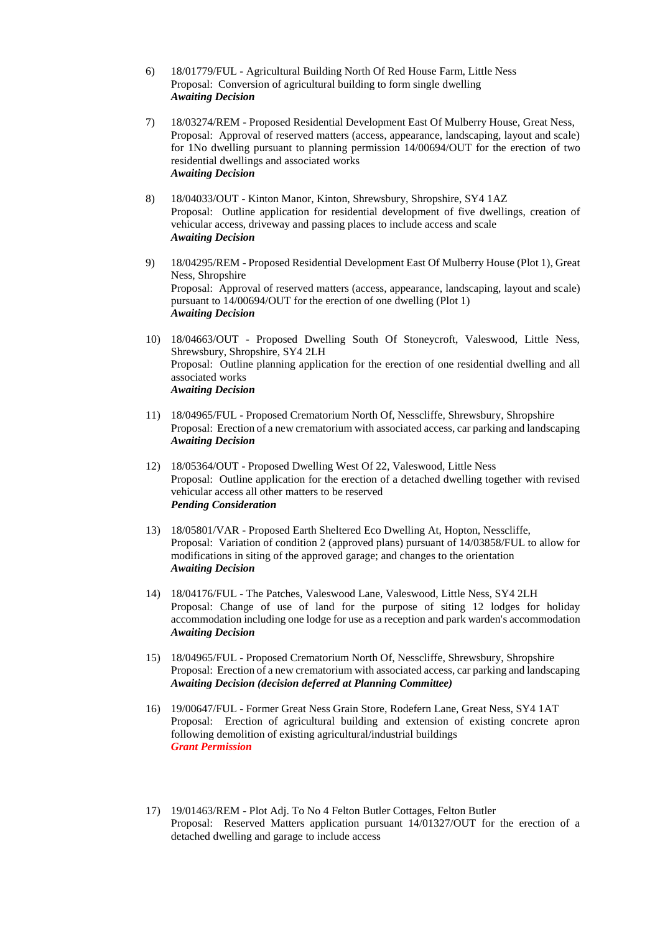- 6) 18/01779/FUL Agricultural Building North Of Red House Farm, Little Ness Proposal: Conversion of agricultural building to form single dwelling *Awaiting Decision*
- 7) 18/03274/REM Proposed Residential Development East Of Mulberry House, Great Ness, Proposal: Approval of reserved matters (access, appearance, landscaping, layout and scale) for 1No dwelling pursuant to planning permission 14/00694/OUT for the erection of two residential dwellings and associated works *Awaiting Decision*
- 8) 18/04033/OUT Kinton Manor, Kinton, Shrewsbury, Shropshire, SY4 1AZ Proposal: Outline application for residential development of five dwellings, creation of vehicular access, driveway and passing places to include access and scale *Awaiting Decision*
- 9) 18/04295/REM Proposed Residential Development East Of Mulberry House (Plot 1), Great Ness, Shropshire Proposal: Approval of reserved matters (access, appearance, landscaping, layout and scale) pursuant to 14/00694/OUT for the erection of one dwelling (Plot 1) *Awaiting Decision*
- 10) 18/04663/OUT Proposed Dwelling South Of Stoneycroft, Valeswood, Little Ness, Shrewsbury, Shropshire, SY4 2LH Proposal: Outline planning application for the erection of one residential dwelling and all associated works *Awaiting Decision*
- 11) 18/04965/FUL Proposed Crematorium North Of, Nesscliffe, Shrewsbury, Shropshire Proposal: Erection of a new crematorium with associated access, car parking and landscaping *Awaiting Decision*
- 12) 18/05364/OUT Proposed Dwelling West Of 22, Valeswood, Little Ness Proposal: Outline application for the erection of a detached dwelling together with revised vehicular access all other matters to be reserved *Pending Consideration*
- 13) 18/05801/VAR Proposed Earth Sheltered Eco Dwelling At, Hopton, Nesscliffe, Proposal: Variation of condition 2 (approved plans) pursuant of 14/03858/FUL to allow for modifications in siting of the approved garage; and changes to the orientation *Awaiting Decision*
- 14) 18/04176/FUL The Patches, Valeswood Lane, Valeswood, Little Ness, SY4 2LH Proposal: Change of use of land for the purpose of siting 12 lodges for holiday accommodation including one lodge for use as a reception and park warden's accommodation *Awaiting Decision*
- 15) 18/04965/FUL Proposed Crematorium North Of, Nesscliffe, Shrewsbury, Shropshire Proposal: Erection of a new crematorium with associated access, car parking and landscaping *Awaiting Decision (decision deferred at Planning Committee)*
- 16) 19/00647/FUL Former Great Ness Grain Store, Rodefern Lane, Great Ness, SY4 1AT Proposal: Erection of agricultural building and extension of existing concrete apron following demolition of existing agricultural/industrial buildings *Grant Permission*
- 17) 19/01463/REM Plot Adj. To No 4 Felton Butler Cottages, Felton Butler Proposal: Reserved Matters application pursuant 14/01327/OUT for the erection of a detached dwelling and garage to include access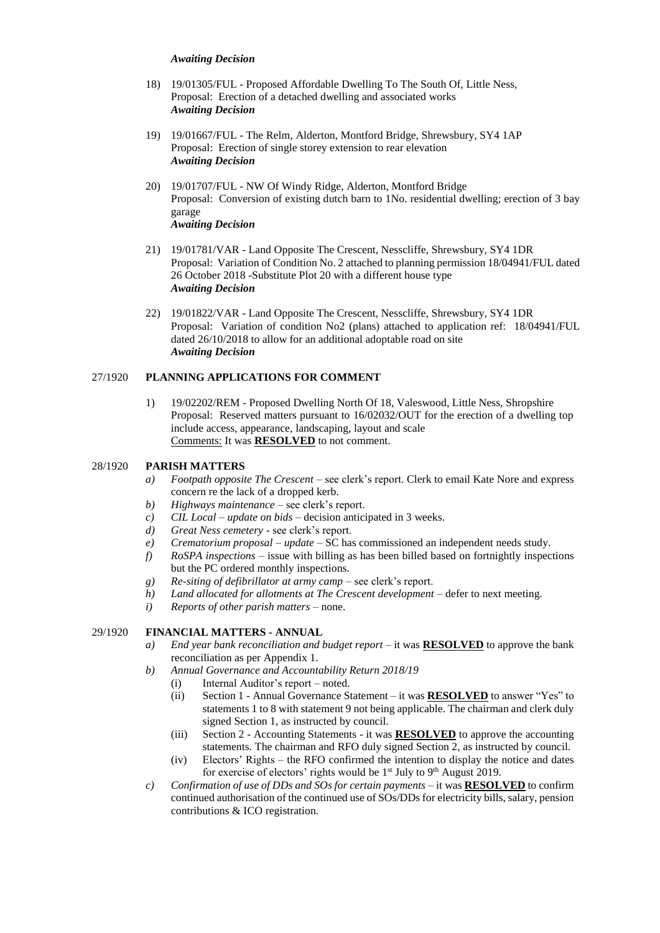#### *Awaiting Decision*

- 18) 19/01305/FUL Proposed Affordable Dwelling To The South Of, Little Ness, Proposal: Erection of a detached dwelling and associated works *Awaiting Decision*
- 19) 19/01667/FUL The Relm, Alderton, Montford Bridge, Shrewsbury, SY4 1AP Proposal: Erection of single storey extension to rear elevation *Awaiting Decision*
- 20) 19/01707/FUL NW Of Windy Ridge, Alderton, Montford Bridge Proposal: Conversion of existing dutch barn to 1No. residential dwelling; erection of 3 bay garage *Awaiting Decision*
- 21) 19/01781/VAR Land Opposite The Crescent, Nesscliffe, Shrewsbury, SY4 1DR Proposal: Variation of Condition No. 2 attached to planning permission 18/04941/FUL dated 26 October 2018 -Substitute Plot 20 with a different house type *Awaiting Decision*
- 22) 19/01822/VAR Land Opposite The Crescent, Nesscliffe, Shrewsbury, SY4 1DR Proposal: Variation of condition No2 (plans) attached to application ref: 18/04941/FUL dated 26/10/2018 to allow for an additional adoptable road on site *Awaiting Decision*

## 27/1920 **PLANNING APPLICATIONS FOR COMMENT**

1) 19/02202/REM - Proposed Dwelling North Of 18, Valeswood, Little Ness, Shropshire Proposal: Reserved matters pursuant to 16/02032/OUT for the erection of a dwelling top include access, appearance, landscaping, layout and scale Comments: It was **RESOLVED** to not comment.

## 28/1920 **PARISH MATTERS**

- *a) Footpath opposite The Crescent –* see clerk's report. Clerk to email Kate Nore and express concern re the lack of a dropped kerb.
- *b) Highways maintenance* see clerk's report.
- *c) CIL Local – update on bids* decision anticipated in 3 weeks.
- *d) Great Ness cemetery* see clerk's report.
- *e) Crematorium proposal – update* SC has commissioned an independent needs study.
- *f) RoSPA inspections* issue with billing as has been billed based on fortnightly inspections but the PC ordered monthly inspections.
- *g) Re-siting of defibrillator at army camp –* see clerk's report.
- *h) Land allocated for allotments at The Crescent development* defer to next meeting.
- *i) Reports of other parish matters* none.

## 29/1920 **FINANCIAL MATTERS - ANNUAL**

- *a) End year bank reconciliation and budget report* it was **RESOLVED** to approve the bank reconciliation as per Appendix 1.
- *b) Annual Governance and Accountability Return 2018/19* 
	- (i) Internal Auditor's report noted.
	- (ii) Section 1 Annual Governance Statement it was **RESOLVED** to answer "Yes" to statements 1 to 8 with statement 9 not being applicable. The chairman and clerk duly signed Section 1, as instructed by council.
	- (iii) Section 2 Accounting Statements it was **RESOLVED** to approve the accounting statements. The chairman and RFO duly signed Section 2, as instructed by council.
	- (iv) Electors' Rights the RFO confirmed the intention to display the notice and dates for exercise of electors' rights would be  $1<sup>st</sup>$  July to  $9<sup>th</sup>$  August 2019.
- *c) Confirmation of use of DDs and SOs for certain payments* it was **RESOLVED** to confirm continued authorisation of the continued use of SOs/DDs for electricity bills, salary, pension contributions & ICO registration.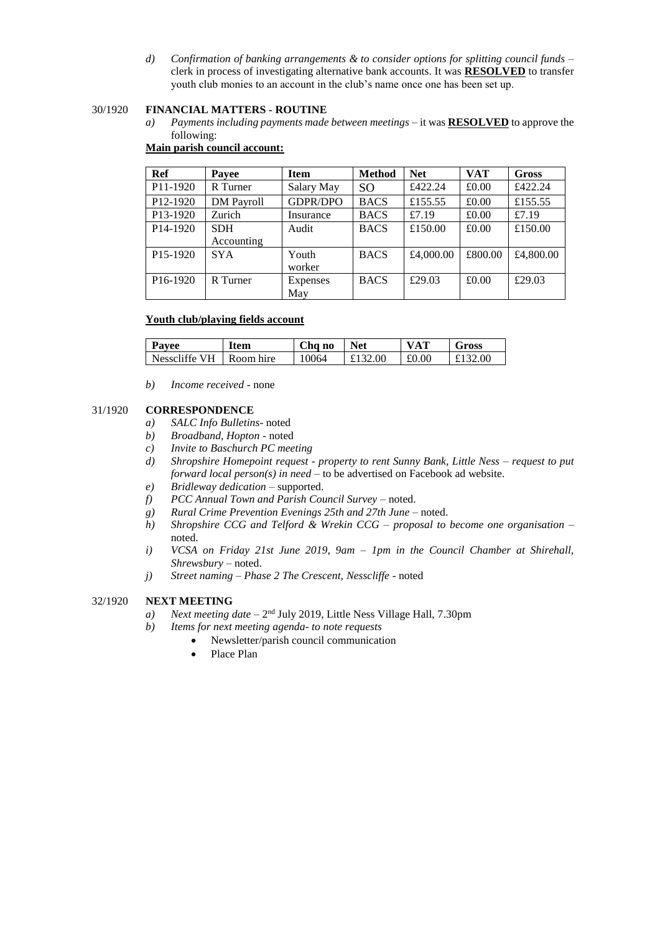*d) Confirmation of banking arrangements & to consider options for splitting council funds –* clerk in process of investigating alternative bank accounts. It was **RESOLVED** to transfer youth club monies to an account in the club's name once one has been set up.

## 30/1920 **FINANCIAL MATTERS - ROUTINE**

*a) Payments including payments made between meetings* – it was **RESOLVED** to approve the following:

# **Main parish council account:**

| Ref                   | Payee             | <b>Item</b> | <b>Method</b> | <b>Net</b> | <b>VAT</b> | <b>Gross</b> |
|-----------------------|-------------------|-------------|---------------|------------|------------|--------------|
| P11-1920              | R Turner          | Salary May  | <b>SO</b>     | £422.24    | £0.00      | £422.24      |
| P <sub>12</sub> -1920 | <b>DM</b> Payroll | GDPR/DPO    | <b>BACS</b>   | £155.55    | £0.00      | £155.55      |
| P13-1920              | Zurich            | Insurance   | <b>BACS</b>   | £7.19      | £0.00      | £7.19        |
| P <sub>14</sub> -1920 | <b>SDH</b>        | Audit       | <b>BACS</b>   | £150.00    | £0.00      | £150.00      |
|                       | Accounting        |             |               |            |            |              |
| P <sub>15</sub> -1920 | <b>SYA</b>        | Youth       | <b>BACS</b>   | £4,000.00  | £800.00    | £4,800.00    |
|                       |                   | worker      |               |            |            |              |
| P <sub>16</sub> -1920 | R Turner          | Expenses    | <b>BACS</b>   | £29.03     | £0.00      | £29.03       |
|                       |                   | May         |               |            |            |              |

## **Youth club/playing fields account**

| Payee         | <b>Item</b> | Cha no | <b>Net</b> | <b>VAT</b> | Gross |
|---------------|-------------|--------|------------|------------|-------|
| Nesscliffe VH | Room hire   | 10064  | £132.00    | £0.00      | 2.00  |

*b) Income received -* none

## 31/1920 **CORRESPONDENCE**

- *a) SALC Info Bulletins* noted
- *b) Broadband, Hopton -* noted
- *c) Invite to Baschurch PC meeting*
- *d) Shropshire Homepoint request - property to rent Sunny Bank, Little Ness – request to put forward local person(s) in need* – to be advertised on Facebook ad website.
- *e) Bridleway dedication* supported.
- *f) PCC Annual Town and Parish Council Survey* noted.
- *g) Rural Crime Prevention Evenings 25th and 27th June* noted.
- *h) Shropshire CCG and Telford & Wrekin CCG – proposal to become one organisation* noted.
- *i) VCSA on Friday 21st June 2019, 9am – 1pm in the Council Chamber at Shirehall, Shrewsbury* – noted.
- *j) Street naming – Phase 2 The Crescent, Nesscliffe* noted

# 32/1920 **NEXT MEETING**

- a) *Next meeting date* 2<sup>nd</sup> July 2019, Little Ness Village Hall, 7.30pm
- *b) Items for next meeting agenda- to note requests*
	- Newsletter/parish council communication
	- Place Plan